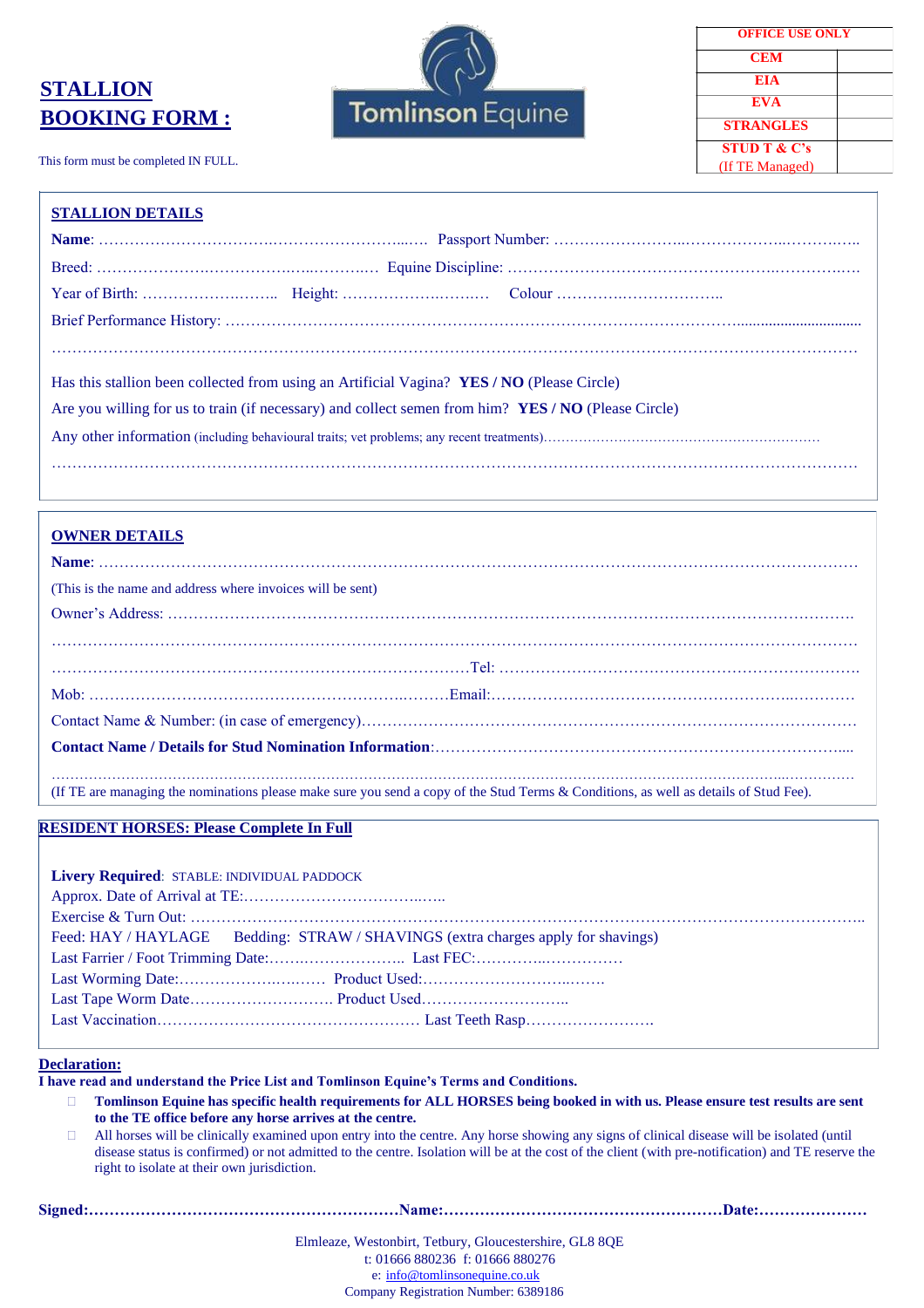# **STALLION BOOKING FORM :**

This form must be completed IN FULL.



| <b>OFFICE USE ONLY</b>  |  |
|-------------------------|--|
| <b>CEM</b>              |  |
| EIA                     |  |
| EVA                     |  |
| <b>STRANGLES</b>        |  |
| <b>STUD T &amp; C's</b> |  |
| (If TE Managed)         |  |

#### **STALLION DETAILS**

| Has this stallion been collected from using an Artificial Vagina? YES / NO (Please Circle)          |  |
|-----------------------------------------------------------------------------------------------------|--|
| Are you willing for us to train (if necessary) and collect semen from him? YES / NO (Please Circle) |  |
|                                                                                                     |  |
|                                                                                                     |  |

#### **OWNER DETAILS**

| (This is the name and address where invoices will be sent)                                                                            |  |
|---------------------------------------------------------------------------------------------------------------------------------------|--|
|                                                                                                                                       |  |
|                                                                                                                                       |  |
|                                                                                                                                       |  |
|                                                                                                                                       |  |
|                                                                                                                                       |  |
|                                                                                                                                       |  |
|                                                                                                                                       |  |
| (If TE are managing the nominations please make sure you send a copy of the Stud Terms & Conditions, as well as details of Stud Fee). |  |

#### **RESIDENT HORSES: Please Complete In Full**

| Livery Required: STABLE: INDIVIDUAL PADDOCK |                                                                                  |
|---------------------------------------------|----------------------------------------------------------------------------------|
|                                             |                                                                                  |
|                                             |                                                                                  |
|                                             | Feed: HAY / HAYLAGE Bedding: STRAW / SHAVINGS (extra charges apply for shavings) |
|                                             |                                                                                  |
|                                             |                                                                                  |
|                                             |                                                                                  |
|                                             |                                                                                  |
|                                             |                                                                                  |

#### **Declaration:**

**I have read and understand the Price List and Tomlinson Equine's Terms and Conditions.**

 **Tomlinson Equine has specific health requirements for ALL HORSES being booked in with us. Please ensure test results are sent to the TE office before any horse arrives at the centre.**

 All horses will be clinically examined upon entry into the centre. Any horse showing any signs of clinical disease will be isolated (until disease status is confirmed) or not admitted to the centre. Isolation will be at the cost of the client (with pre-notification) and TE reserve the right to isolate at their own jurisdiction.

| Elmleaze, Westonbirt, Tetbury, Gloucestershire, GL8 80E |  |
|---------------------------------------------------------|--|
| t: 01666 880236 f: 01666 880276                         |  |
| $e:$ info@tomlinsonequine.co.uk                         |  |
| Company Registration Number: 6389186                    |  |